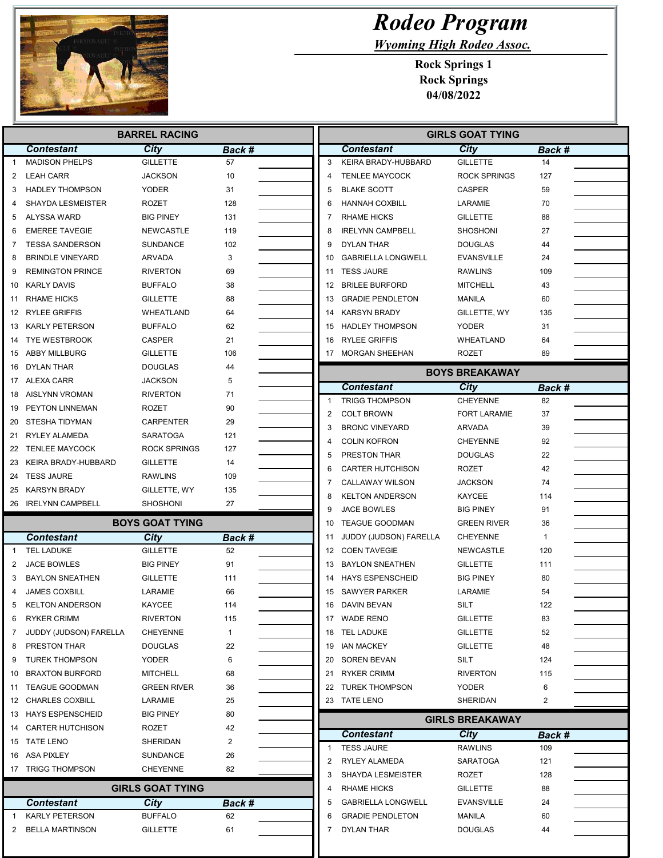

## Rodeo Program

Wyoming High Rodeo Assoc.

Rock Springs 1 Rock Springs 04/08/2022

| <b>BARREL RACING</b> |                                                 |                                |              | <b>GIRLS GOAT TYING</b> |                |                                               |                                    |              |
|----------------------|-------------------------------------------------|--------------------------------|--------------|-------------------------|----------------|-----------------------------------------------|------------------------------------|--------------|
|                      | <b>Contestant</b>                               | City                           | Back #       |                         |                | <b>Contestant</b>                             | City                               | Back #       |
| $\mathbf{1}$         | <b>MADISON PHELPS</b>                           | <b>GILLETTE</b>                | 57           |                         | 3              | KEIRA BRADY-HUBBARD                           | <b>GILLETTE</b>                    | 14           |
| 2                    | <b>LEAH CARR</b>                                | <b>JACKSON</b>                 | 10           |                         | 4              | <b>TENLEE MAYCOCK</b>                         | <b>ROCK SPRINGS</b>                | 127          |
| 3                    | <b>HADLEY THOMPSON</b>                          | YODER                          | 31           |                         | 5              | <b>BLAKE SCOTT</b>                            | <b>CASPER</b>                      | 59           |
| 4                    | <b>SHAYDA LESMEISTER</b>                        | ROZET                          | 128          |                         | 6              | <b>HANNAH COXBILL</b>                         | LARAMIE                            | 70           |
| 5                    | ALYSSA WARD                                     | <b>BIG PINEY</b>               | 131          |                         | 7              | <b>RHAME HICKS</b>                            | <b>GILLETTE</b>                    | 88           |
| 6                    | <b>EMEREE TAVEGIE</b>                           | NEWCASTLE                      | 119          |                         | 8              | <b>IRELYNN CAMPBELL</b>                       | <b>SHOSHONI</b>                    | 27           |
| 7                    | <b>TESSA SANDERSON</b>                          | SUNDANCE                       | 102          |                         | 9              | <b>DYLAN THAR</b>                             | DOUGLAS                            | 44           |
| 8                    | <b>BRINDLE VINEYARD</b>                         | ARVADA                         | 3            |                         | 10             | <b>GABRIELLA LONGWELL</b>                     | EVANSVILLE                         | 24           |
| 9                    | <b>REMINGTON PRINCE</b>                         | <b>RIVERTON</b>                | 69           |                         | 11             | <b>TESS JAURE</b>                             | <b>RAWLINS</b>                     | 109          |
| 10                   | KARLY DAVIS                                     | <b>BUFFALO</b>                 | 38           |                         |                | 12 BRILEE BURFORD                             | <b>MITCHELL</b>                    | 43           |
| 11                   | <b>RHAME HICKS</b>                              | <b>GILLETTE</b>                | 88           |                         | 13             | <b>GRADIE PENDLETON</b>                       | <b>MANILA</b>                      | 60           |
| 12                   | <b>RYLEE GRIFFIS</b>                            | WHEATLAND                      | 64           |                         | 14             | <b>KARSYN BRADY</b>                           | GILLETTE, WY                       | 135          |
|                      | 13 KARLY PETERSON                               | <b>BUFFALO</b>                 | 62           |                         | 15             | <b>HADLEY THOMPSON</b>                        | <b>YODER</b>                       | 31           |
| 14                   | <b>TYE WESTBROOK</b>                            | <b>CASPER</b>                  | 21           |                         | 16             | <b>RYLEE GRIFFIS</b>                          | WHEATLAND                          | 64           |
| 15                   | ABBY MILLBURG                                   | GILLETTE                       | 106          |                         |                | 17 MORGAN SHEEHAN                             | ROZET                              | 89           |
| 16                   | DYLAN THAR                                      | <b>DOUGLAS</b>                 | 44           |                         |                |                                               | <b>BOYS BREAKAWAY</b>              |              |
|                      | 17 ALEXA CARR                                   | <b>JACKSON</b>                 | 5            |                         |                |                                               |                                    |              |
| 18                   | AISLYNN VROMAN                                  | <b>RIVERTON</b>                | 71           |                         | -1             | <b>Contestant</b><br><b>TRIGG THOMPSON</b>    | City<br><b>CHEYENNE</b>            | Back #<br>82 |
| 19                   | PEYTON LINNEMAN                                 | ROZET                          | 90           |                         | $\overline{2}$ | <b>COLT BROWN</b>                             |                                    | 37           |
|                      | 20 STESHA TIDYMAN                               | <b>CARPENTER</b>               | 29           |                         |                |                                               | <b>FORT LARAMIE</b>                |              |
|                      | 21 RYLEY ALAMEDA                                | SARATOGA                       | 121          |                         | 3<br>4         | <b>BRONC VINEYARD</b><br><b>COLIN KOFRON</b>  | ARVADA                             | 39<br>92     |
|                      | 22 TENLEE MAYCOCK                               | <b>ROCK SPRINGS</b>            | 127          |                         |                |                                               | <b>CHEYENNE</b>                    |              |
| 23                   | KEIRA BRADY-HUBBARD                             | <b>GILLETTE</b>                | 14           |                         | 5              | PRESTON THAR                                  | DOUGLAS                            | 22           |
| 24                   | <b>TESS JAURE</b>                               | RAWLINS                        | 109          |                         | 6              | <b>CARTER HUTCHISON</b>                       | ROZET                              | 42           |
|                      | 25 KARSYN BRADY                                 | GILLETTE, WY                   | 135          |                         | 7              | <b>CALLAWAY WILSON</b>                        | <b>JACKSON</b>                     | 74           |
|                      | 26 IRELYNN CAMPBELL                             | SHOSHONI                       | 27           |                         | 8<br>9         | <b>KELTON ANDERSON</b><br><b>JACE BOWLES</b>  | KAYCEE<br><b>BIG PINEY</b>         | 114<br>91    |
|                      |                                                 | <b>BOYS GOAT TYING</b>         |              |                         | 10             | TEAGUE GOODMAN                                | <b>GREEN RIVER</b>                 | 36           |
|                      | <b>Contestant</b>                               |                                |              |                         | 11             |                                               | <b>CHEYENNE</b>                    | 1            |
| $\overline{1}$       | <b>TEL LADUKE</b>                               | <b>City</b><br><b>GILLETTE</b> | Back #<br>52 |                         | 12             | JUDDY (JUDSON) FARELLA<br><b>COEN TAVEGIE</b> | NEWCASTLE                          | 120          |
| 2                    | JACE BOWLES                                     | <b>BIG PINEY</b>               | 91           |                         | 13             | <b>BAYLON SNEATHEN</b>                        | <b>GILLETTE</b>                    | 111          |
| 3                    | <b>BAYLON SNEATHEN</b>                          | <b>GILLETTE</b>                | 111          |                         | 14             | <b>HAYS ESPENSCHEID</b>                       | <b>BIG PINEY</b>                   | 80           |
| 4                    | <b>JAMES COXBILL</b>                            | LARAMIE                        | 66           |                         |                | 15 SAWYER PARKER                              | LARAMIE                            | 54           |
| 5                    | <b>KELTON ANDERSON</b>                          | <b>KAYCEE</b>                  | 114          |                         |                | 16 DAVIN BEVAN                                | SILT                               | 122          |
|                      | <b>RYKER CRIMM</b>                              | <b>RIVERTON</b>                |              |                         |                | 17 WADE RENO                                  | <b>GILLETTE</b>                    |              |
| 6                    |                                                 |                                | 115          |                         |                |                                               |                                    | 83           |
| 7                    | JUDDY (JUDSON) FARELLA<br>PRESTON THAR          | <b>CHEYENNE</b>                | $\mathbf{1}$ |                         |                | 18 TEL LADUKE<br>19 IAN MACKEY                | <b>GILLETTE</b><br><b>GILLETTE</b> | 52<br>48     |
| 8                    |                                                 | <b>DOUGLAS</b>                 | 22           |                         |                |                                               |                                    |              |
| 9                    | <b>TUREK THOMPSON</b><br><b>BRAXTON BURFORD</b> | YODER<br><b>MITCHELL</b>       | 6            |                         |                | 20 SOREN BEVAN<br>RYKER CRIMM                 | SILT                               | 124          |
| 10<br>11             | TEAGUE GOODMAN                                  | <b>GREEN RIVER</b>             | 68           |                         | 21             | 22 TUREK THOMPSON                             | <b>RIVERTON</b><br><b>YODER</b>    | 115<br>6     |
|                      | 12 CHARLES COXBILL                              | LARAMIE                        | 36           |                         |                | 23 TATE LENO                                  | SHERIDAN                           | 2            |
|                      | 13 HAYS ESPENSCHEID                             | <b>BIG PINEY</b>               | 25<br>80     |                         |                |                                               |                                    |              |
|                      | 14 CARTER HUTCHISON                             | ROZET                          |              |                         |                |                                               | <b>GIRLS BREAKAWAY</b>             |              |
|                      |                                                 | <b>SHERIDAN</b>                | 42           |                         |                | <b>Contestant</b>                             | City                               | Back #       |
|                      | 15 TATE LENO                                    |                                | 2            |                         | $\mathbf 1$    | <b>TESS JAURE</b>                             | <b>RAWLINS</b>                     | 109          |
|                      | 16 ASA PIXLEY                                   | SUNDANCE                       | 26           |                         | $\overline{2}$ | RYLEY ALAMEDA                                 | <b>SARATOGA</b>                    | 121          |
|                      | 17 TRIGG THOMPSON                               | <b>CHEYENNE</b>                | 82           |                         | 3              | <b>SHAYDA LESMEISTER</b>                      | ROZET                              | 128          |
|                      |                                                 | <b>GIRLS GOAT TYING</b>        |              |                         | 4              | <b>RHAME HICKS</b>                            | <b>GILLETTE</b>                    | 88           |
|                      | <b>Contestant</b>                               | City                           | Back #       |                         | 5              | <b>GABRIELLA LONGWELL</b>                     | <b>EVANSVILLE</b>                  | 24           |
| -1                   | <b>KARLY PETERSON</b>                           | <b>BUFFALO</b>                 | 62           |                         | 6              | <b>GRADIE PENDLETON</b>                       | MANILA                             | 60           |
| 2                    | <b>BELLA MARTINSON</b>                          | GILLETTE                       | 61           |                         | 7              | DYLAN THAR                                    | DOUGLAS                            | 44           |
|                      |                                                 |                                |              |                         |                |                                               |                                    |              |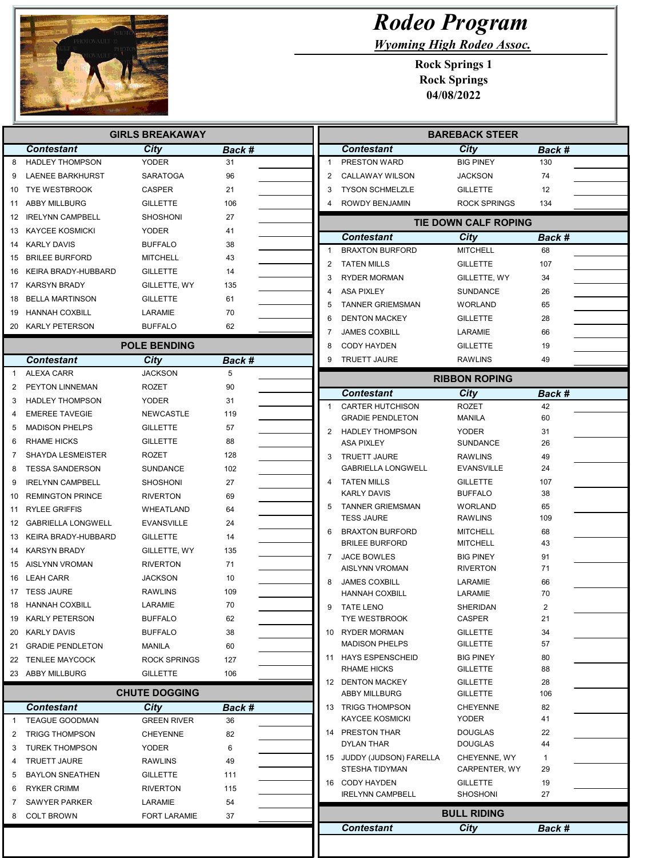

## Rodeo Program

Wyoming High Rodeo Assoc.

Rock Springs 1 Rock Springs 04/08/2022

| <b>GIRLS BREAKAWAY</b> |                          |                           |             |                                                       | <b>BAREBACK STEER</b>               |          |  |  |
|------------------------|--------------------------|---------------------------|-------------|-------------------------------------------------------|-------------------------------------|----------|--|--|
|                        | <b>Contestant</b>        | City                      | Back #      | <b>Contestant</b>                                     | City                                | Back #   |  |  |
| 8                      | <b>HADLEY THOMPSON</b>   | <b>YODER</b>              | 31          | PRESTON WARD<br>1                                     | <b>BIG PINEY</b>                    | 130      |  |  |
| 9                      | <b>LAENEE BARKHURST</b>  | <b>SARATOGA</b>           | 96          | 2<br><b>CALLAWAY WILSON</b>                           | <b>JACKSON</b>                      | 74       |  |  |
| 10                     | <b>TYE WESTBROOK</b>     | <b>CASPER</b>             | 21          | 3<br><b>TYSON SCHMELZLE</b>                           | <b>GILLETTE</b>                     | 12       |  |  |
| 11                     | <b>ABBY MILLBURG</b>     | <b>GILLETTE</b>           | 106         | ROWDY BENJAMIN                                        | <b>ROCK SPRINGS</b>                 | 134      |  |  |
| 12                     | <b>IRELYNN CAMPBELL</b>  | <b>SHOSHONI</b>           | 27          |                                                       | TIE DOWN CALF ROPING                |          |  |  |
|                        | 13 KAYCEE KOSMICKI       | <b>YODER</b>              | 41          | Contestant                                            | City                                | Back #   |  |  |
|                        | 14 KARLY DAVIS           | <b>BUFFALO</b>            | 38          | <b>BRAXTON BURFORD</b><br>1                           | <b>MITCHELL</b>                     | 68       |  |  |
| 15                     | <b>BRILEE BURFORD</b>    | <b>MITCHELL</b>           | 43          | 2<br><b>TATEN MILLS</b>                               | <b>GILLETTE</b>                     | 107      |  |  |
| 16                     | KEIRA BRADY-HUBBARD      | <b>GILLETTE</b>           | 14          | <b>RYDER MORMAN</b><br>3                              | GILLETTE, WY                        | 34       |  |  |
|                        | 17 KARSYN BRADY          | GILLETTE, WY              | 135         | <b>ASA PIXLEY</b><br>4                                | <b>SUNDANCE</b>                     | 26       |  |  |
| 18                     | BELLA MARTINSON          | <b>GILLETTE</b>           | 61          | 5<br><b>TANNER GRIEMSMAN</b>                          | WORLAND                             | 65       |  |  |
| 19                     | HANNAH COXBILL           | LARAMIE                   | 70          | 6<br><b>DENTON MACKEY</b>                             | <b>GILLETTE</b>                     | 28       |  |  |
|                        | 20 KARLY PETERSON        | <b>BUFFALO</b>            | 62          | <b>JAMES COXBILL</b><br>7                             | LARAMIE                             | 66       |  |  |
|                        |                          | <b>POLE BENDING</b>       |             | 8<br><b>CODY HAYDEN</b>                               | <b>GILLETTE</b>                     | 19       |  |  |
|                        | <b>Contestant</b>        | City                      |             | <b>TRUETT JAURE</b><br>9                              | <b>RAWLINS</b>                      | 49       |  |  |
| $\overline{1}$         | <b>ALEXA CARR</b>        | <b>JACKSON</b>            | Back #<br>5 |                                                       |                                     |          |  |  |
| $\overline{2}$         | PEYTON LINNEMAN          | <b>ROZET</b>              | 90          |                                                       | <b>RIBBON ROPING</b>                |          |  |  |
| 3                      | <b>HADLEY THOMPSON</b>   | <b>YODER</b>              | 31          | <b>Contestant</b>                                     | City                                | Back #   |  |  |
| 4                      | <b>EMEREE TAVEGIE</b>    | <b>NEWCASTLE</b>          | 119         | <b>CARTER HUTCHISON</b><br>1                          | <b>ROZET</b>                        | 42       |  |  |
| 5                      | <b>MADISON PHELPS</b>    | <b>GILLETTE</b>           | 57          | <b>GRADIE PENDLETON</b>                               | <b>MANILA</b>                       | 60       |  |  |
| 6                      | <b>RHAME HICKS</b>       | <b>GILLETTE</b>           | 88          | 2<br><b>HADLEY THOMPSON</b>                           | <b>YODER</b>                        | 31       |  |  |
| 7                      | <b>SHAYDA LESMEISTER</b> | ROZET                     | 128         | <b>ASA PIXLEY</b>                                     | <b>SUNDANCE</b>                     | 26       |  |  |
| 8                      | <b>TESSA SANDERSON</b>   | <b>SUNDANCE</b>           | 102         | 3<br><b>TRUETT JAURE</b><br><b>GABRIELLA LONGWELL</b> | <b>RAWLINS</b><br><b>EVANSVILLE</b> | 49<br>24 |  |  |
| 9                      | <b>IRELYNN CAMPBELL</b>  | <b>SHOSHONI</b>           | 27          | <b>TATEN MILLS</b>                                    | <b>GILLETTE</b>                     | 107      |  |  |
| 10                     | <b>REMINGTON PRINCE</b>  | <b>RIVERTON</b>           | 69          | <b>KARLY DAVIS</b>                                    | <b>BUFFALO</b>                      | 38       |  |  |
| 11                     | <b>RYLEE GRIFFIS</b>     | WHEATLAND                 | 64          | 5<br><b>TANNER GRIEMSMAN</b>                          | WORLAND                             | 65       |  |  |
|                        | 12 GABRIELLA LONGWELL    | <b>EVANSVILLE</b>         | 24          | <b>TESS JAURE</b>                                     | <b>RAWLINS</b>                      | 109      |  |  |
|                        | 13 KEIRA BRADY-HUBBARD   | <b>GILLETTE</b>           | 14          | 6<br><b>BRAXTON BURFORD</b>                           | <b>MITCHELL</b>                     | 68       |  |  |
| 14                     | <b>KARSYN BRADY</b>      | GILLETTE, WY              | 135         | <b>BRILEE BURFORD</b>                                 | <b>MITCHELL</b>                     | 43       |  |  |
| 15                     | AISLYNN VROMAN           | <b>RIVERTON</b>           | 71          | 7<br><b>JACE BOWLES</b>                               | <b>BIG PINEY</b>                    | 91       |  |  |
| 16                     | LEAH CARR                | <b>JACKSON</b>            | 10          | AISLYNN VROMAN                                        | <b>RIVERTON</b>                     | 71       |  |  |
|                        | 17 TESS JAURE            | <b>RAWLINS</b>            | 109         | 8<br><b>JAMES COXBILL</b>                             | LARAMIE                             | 66       |  |  |
|                        | 18 HANNAH COXBILL        |                           | 70          | <b>HANNAH COXBILL</b>                                 | LARAMIE                             | 70       |  |  |
|                        | 19 KARLY PETERSON        | LARAMIE<br><b>BUFFALO</b> |             | 9<br><b>TATE LENO</b><br><b>TYE WESTBROOK</b>         | SHERIDAN<br>CASPER                  | 2<br>21  |  |  |
|                        | 20 KARLY DAVIS           | <b>BUFFALO</b>            | 62<br>38    | 10 RYDER MORMAN                                       | <b>GILLETTE</b>                     | 34       |  |  |
|                        | 21 GRADIE PENDLETON      | MANILA                    | 60          | <b>MADISON PHELPS</b>                                 | <b>GILLETTE</b>                     | 57       |  |  |
|                        | 22 TENLEE MAYCOCK        | <b>ROCK SPRINGS</b>       | 127         | 11 HAYS ESPENSCHEID                                   | <b>BIG PINEY</b>                    | 80       |  |  |
|                        | 23 ABBY MILLBURG         | <b>GILLETTE</b>           | 106         | <b>RHAME HICKS</b>                                    | <b>GILLETTE</b>                     | 88       |  |  |
|                        |                          |                           |             | 12 DENTON MACKEY                                      | <b>GILLETTE</b>                     | 28       |  |  |
|                        |                          | <b>CHUTE DOGGING</b>      |             | <b>ABBY MILLBURG</b>                                  | <b>GILLETTE</b>                     | 106      |  |  |
|                        | <b>Contestant</b>        | <b>City</b>               | Back #      | 13 TRIGG THOMPSON                                     | <b>CHEYENNE</b>                     | 82       |  |  |
| -1                     | <b>TEAGUE GOODMAN</b>    | <b>GREEN RIVER</b>        | 36          | <b>KAYCEE KOSMICKI</b>                                | YODER                               | 41       |  |  |
| 2                      | <b>TRIGG THOMPSON</b>    | <b>CHEYENNE</b>           | 82          | 14 PRESTON THAR                                       | <b>DOUGLAS</b>                      | 22       |  |  |
| 3                      | <b>TUREK THOMPSON</b>    | <b>YODER</b>              | 6           | <b>DYLAN THAR</b>                                     | <b>DOUGLAS</b>                      | 44       |  |  |
| 4                      | <b>TRUETT JAURE</b>      | RAWLINS                   | 49          | 15 JUDDY (JUDSON) FARELLA<br>STESHA TIDYMAN           | CHEYENNE, WY<br>CARPENTER, WY       | 1<br>29  |  |  |
| 5                      | <b>BAYLON SNEATHEN</b>   | <b>GILLETTE</b>           | 111         | 16 CODY HAYDEN                                        | <b>GILLETTE</b>                     | 19       |  |  |
| 6                      | <b>RYKER CRIMM</b>       | <b>RIVERTON</b>           | 115         | <b>IRELYNN CAMPBELL</b>                               | <b>SHOSHONI</b>                     | 27       |  |  |
| 7                      | <b>SAWYER PARKER</b>     | LARAMIE                   | 54          |                                                       |                                     |          |  |  |
|                        |                          | <b>FORT LARAMIE</b>       | 37          |                                                       | <b>BULL RIDING</b>                  |          |  |  |